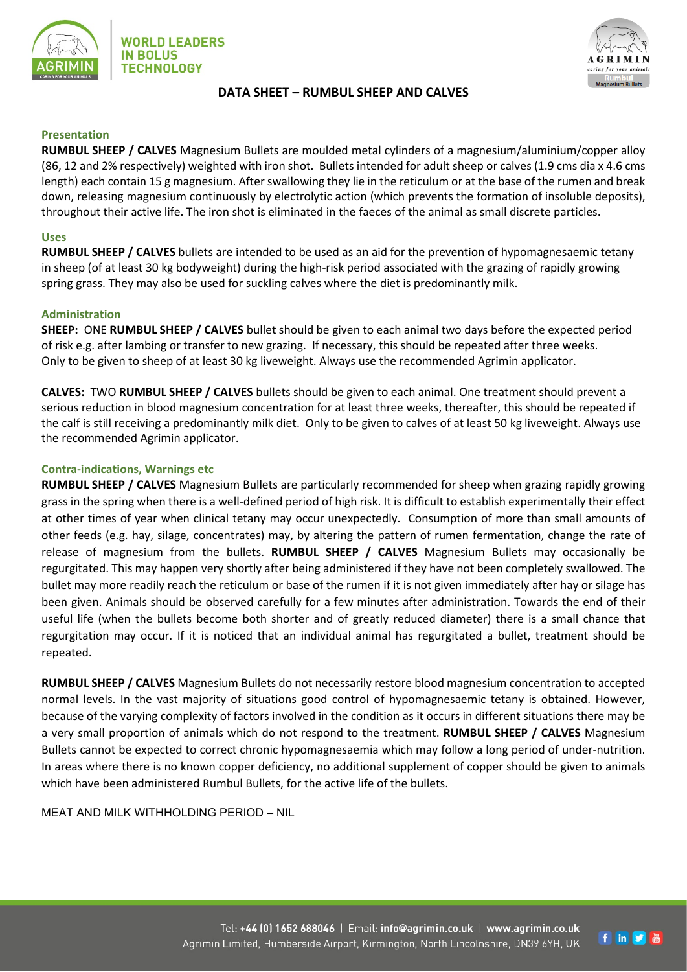



# **DATA SHEET – RUMBUL SHEEP AND CALVES**

## **Presentation**

**RUMBUL SHEEP / CALVES** Magnesium Bullets are moulded metal cylinders of a magnesium/aluminium/copper alloy (86, 12 and 2% respectively) weighted with iron shot. Bullets intended for adult sheep or calves (1.9 cms dia x 4.6 cms length) each contain 15 g magnesium. After swallowing they lie in the reticulum or at the base of the rumen and break down, releasing magnesium continuously by electrolytic action (which prevents the formation of insoluble deposits), throughout their active life. The iron shot is eliminated in the faeces of the animal as small discrete particles.

#### **Uses**

**RUMBUL SHEEP / CALVES** bullets are intended to be used as an aid for the prevention of hypomagnesaemic tetany in sheep (of at least 30 kg bodyweight) during the high-risk period associated with the grazing of rapidly growing spring grass. They may also be used for suckling calves where the diet is predominantly milk.

## **Administration**

**SHEEP:** ONE **RUMBUL SHEEP / CALVES** bullet should be given to each animal two days before the expected period of risk e.g. after lambing or transfer to new grazing. If necessary, this should be repeated after three weeks. Only to be given to sheep of at least 30 kg liveweight. Always use the recommended Agrimin applicator.

**CALVES:** TWO **RUMBUL SHEEP / CALVES** bullets should be given to each animal. One treatment should prevent a serious reduction in blood magnesium concentration for at least three weeks, thereafter, this should be repeated if the calf is still receiving a predominantly milk diet. Only to be given to calves of at least 50 kg liveweight. Always use the recommended Agrimin applicator.

## **Contra-indications, Warnings etc**

**RUMBUL SHEEP / CALVES** Magnesium Bullets are particularly recommended for sheep when grazing rapidly growing grass in the spring when there is a well-defined period of high risk. It is difficult to establish experimentally their effect at other times of year when clinical tetany may occur unexpectedly. Consumption of more than small amounts of other feeds (e.g. hay, silage, concentrates) may, by altering the pattern of rumen fermentation, change the rate of release of magnesium from the bullets. **RUMBUL SHEEP / CALVES** Magnesium Bullets may occasionally be regurgitated. This may happen very shortly after being administered if they have not been completely swallowed. The bullet may more readily reach the reticulum or base of the rumen if it is not given immediately after hay or silage has been given. Animals should be observed carefully for a few minutes after administration. Towards the end of their useful life (when the bullets become both shorter and of greatly reduced diameter) there is a small chance that regurgitation may occur. If it is noticed that an individual animal has regurgitated a bullet, treatment should be repeated.

**RUMBUL SHEEP / CALVES** Magnesium Bullets do not necessarily restore blood magnesium concentration to accepted normal levels. In the vast majority of situations good control of hypomagnesaemic tetany is obtained. However, because of the varying complexity of factors involved in the condition as it occurs in different situations there may be a very small proportion of animals which do not respond to the treatment. **RUMBUL SHEEP / CALVES** Magnesium Bullets cannot be expected to correct chronic hypomagnesaemia which may follow a long period of under-nutrition. In areas where there is no known copper deficiency, no additional supplement of copper should be given to animals which have been administered Rumbul Bullets, for the active life of the bullets.

MEAT AND MILK WITHHOLDING PERIOD – NIL

f in y &